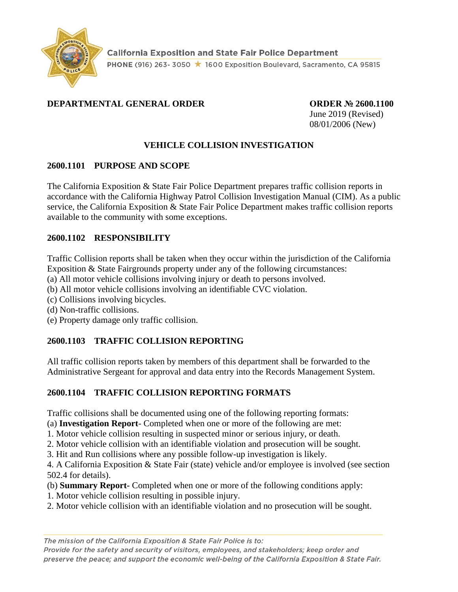

# **DEPARTMENTAL GENERAL ORDER ORDER № 2600.1100**

June 2019 (Revised) 08/01/2006 (New)

# **VEHICLE COLLISION INVESTIGATION**

### **2600.1101 PURPOSE AND SCOPE**

The California Exposition & State Fair Police Department prepares traffic collision reports in accordance with the California Highway Patrol Collision Investigation Manual (CIM). As a public service, the California Exposition & State Fair Police Department makes traffic collision reports available to the community with some exceptions.

### **2600.1102 RESPONSIBILITY**

Traffic Collision reports shall be taken when they occur within the jurisdiction of the California Exposition & State Fairgrounds property under any of the following circumstances:

(a) All motor vehicle collisions involving injury or death to persons involved.

(b) All motor vehicle collisions involving an identifiable CVC violation.

- (c) Collisions involving bicycles.
- (d) Non-traffic collisions.

(e) Property damage only traffic collision.

## **2600.1103 TRAFFIC COLLISION REPORTING**

All traffic collision reports taken by members of this department shall be forwarded to the Administrative Sergeant for approval and data entry into the Records Management System.

## **2600.1104 TRAFFIC COLLISION REPORTING FORMATS**

Traffic collisions shall be documented using one of the following reporting formats:

(a) **Investigation Report**- Completed when one or more of the following are met:

1. Motor vehicle collision resulting in suspected minor or serious injury, or death.

2. Motor vehicle collision with an identifiable violation and prosecution will be sought.

3. Hit and Run collisions where any possible follow-up investigation is likely.

4. A California Exposition & State Fair (state) vehicle and/or employee is involved (see section 502.4 for details).

- (b) **Summary Report-** Completed when one or more of the following conditions apply:
- 1. Motor vehicle collision resulting in possible injury.
- 2. Motor vehicle collision with an identifiable violation and no prosecution will be sought.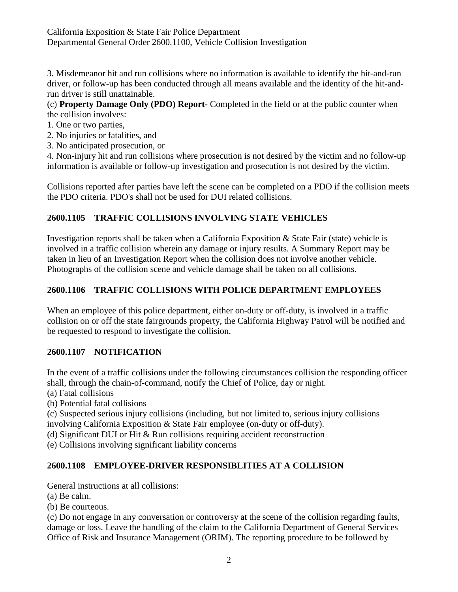California Exposition & State Fair Police Department Departmental General Order 2600.1100, Vehicle Collision Investigation

3. Misdemeanor hit and run collisions where no information is available to identify the hit-and-run driver, or follow-up has been conducted through all means available and the identity of the hit-andrun driver is still unattainable.

(c) **Property Damage Only (PDO) Report-** Completed in the field or at the public counter when the collision involves:

- 1. One or two parties,
- 2. No injuries or fatalities, and
- 3. No anticipated prosecution, or

4. Non-injury hit and run collisions where prosecution is not desired by the victim and no follow-up information is available or follow-up investigation and prosecution is not desired by the victim.

Collisions reported after parties have left the scene can be completed on a PDO if the collision meets the PDO criteria. PDO's shall not be used for DUI related collisions.

# **2600.1105 TRAFFIC COLLISIONS INVOLVING STATE VEHICLES**

Investigation reports shall be taken when a California Exposition & State Fair (state) vehicle is involved in a traffic collision wherein any damage or injury results. A Summary Report may be taken in lieu of an Investigation Report when the collision does not involve another vehicle. Photographs of the collision scene and vehicle damage shall be taken on all collisions.

## **2600.1106 TRAFFIC COLLISIONS WITH POLICE DEPARTMENT EMPLOYEES**

When an employee of this police department, either on-duty or off-duty, is involved in a traffic collision on or off the state fairgrounds property, the California Highway Patrol will be notified and be requested to respond to investigate the collision.

## **2600.1107 NOTIFICATION**

In the event of a traffic collisions under the following circumstances collision the responding officer shall, through the chain-of-command, notify the Chief of Police, day or night.

(a) Fatal collisions

(b) Potential fatal collisions

(c) Suspected serious injury collisions (including, but not limited to, serious injury collisions involving California Exposition & State Fair employee (on-duty or off-duty).

(d) Significant DUI or Hit & Run collisions requiring accident reconstruction

(e) Collisions involving significant liability concerns

## **2600.1108 EMPLOYEE-DRIVER RESPONSIBLITIES AT A COLLISION**

General instructions at all collisions:

(a) Be calm.

(b) Be courteous.

(c) Do not engage in any conversation or controversy at the scene of the collision regarding faults, damage or loss. Leave the handling of the claim to the California Department of General Services Office of Risk and Insurance Management (ORIM). The reporting procedure to be followed by